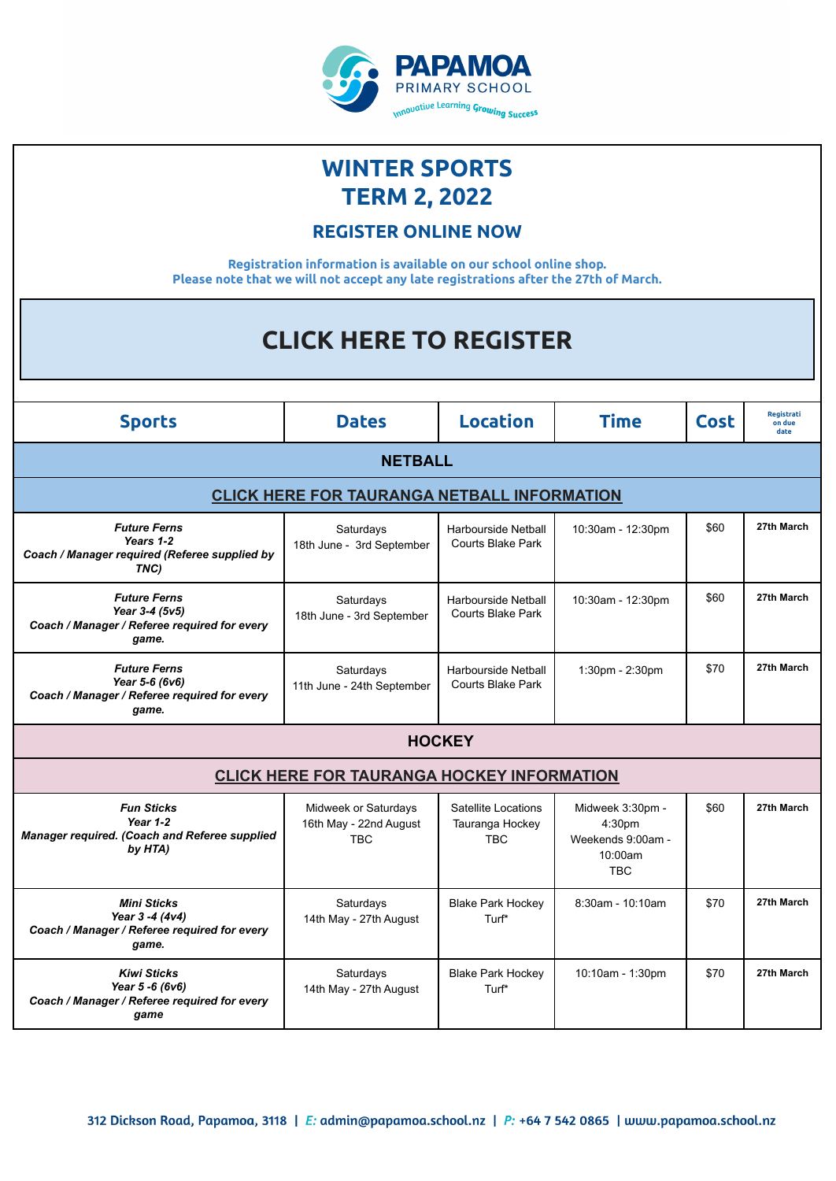

## **WINTER SPORTS TERM 2, 2022**

## **REGISTER ONLINE NOW**

**Registration information is available on our school online shop. Please note that we will not accept any late registrations after the 27th of March.**

| <b>CLICK HERE TO REGISTER</b>                                                                  |                                                              |                                                        |                                                                                      |             |                              |  |  |  |  |  |
|------------------------------------------------------------------------------------------------|--------------------------------------------------------------|--------------------------------------------------------|--------------------------------------------------------------------------------------|-------------|------------------------------|--|--|--|--|--|
|                                                                                                |                                                              |                                                        |                                                                                      |             |                              |  |  |  |  |  |
| <b>Sports</b>                                                                                  | <b>Dates</b>                                                 | <b>Location</b>                                        | <b>Time</b>                                                                          | <b>Cost</b> | Registrati<br>on due<br>date |  |  |  |  |  |
| <b>NETBALL</b>                                                                                 |                                                              |                                                        |                                                                                      |             |                              |  |  |  |  |  |
| <b>CLICK HERE FOR TAURANGA NETBALL INFORMATION</b>                                             |                                                              |                                                        |                                                                                      |             |                              |  |  |  |  |  |
| <b>Future Ferns</b><br>Years 1-2<br>Coach / Manager required (Referee supplied by<br>TNC)      | Saturdays<br>18th June - 3rd September                       | <b>Harbourside Netball</b><br><b>Courts Blake Park</b> | 10:30am - 12:30pm                                                                    | \$60        | 27th March                   |  |  |  |  |  |
| <b>Future Ferns</b><br>Year 3-4 (5v5)<br>Coach / Manager / Referee required for every<br>game. | Saturdays<br>18th June - 3rd September                       | Harbourside Netball<br>Courts Blake Park               | 10:30am - 12:30pm                                                                    | \$60        | 27th March                   |  |  |  |  |  |
| <b>Future Ferns</b><br>Year 5-6 (6v6)<br>Coach / Manager / Referee required for every<br>game. | Saturdays<br>11th June - 24th September                      | <b>Harbourside Netball</b><br><b>Courts Blake Park</b> | $1:30$ pm - $2:30$ pm                                                                | \$70        | 27th March                   |  |  |  |  |  |
| <b>HOCKEY</b>                                                                                  |                                                              |                                                        |                                                                                      |             |                              |  |  |  |  |  |
| <b>CLICK HERE FOR TAURANGA HOCKEY INFORMATION</b>                                              |                                                              |                                                        |                                                                                      |             |                              |  |  |  |  |  |
| <b>Fun Sticks</b><br>Year 1-2<br>Manager required. (Coach and Referee supplied<br>by HTA)      | Midweek or Saturdays<br>16th May - 22nd August<br><b>TBC</b> | Satellite Locations<br>Tauranga Hockey<br>TBC          | Midweek 3:30pm -<br>4:30 <sub>pm</sub><br>Weekends 9:00am -<br>10:00am<br><b>TBC</b> | \$60        | 27th March                   |  |  |  |  |  |
| <b>Mini Sticks</b><br>Year 3 -4 (4v4)<br>Coach / Manager / Referee required for every<br>game. | Saturdays<br>14th May - 27th August                          | <b>Blake Park Hockey</b><br>Turf*                      | 8:30am - 10:10am                                                                     | \$70        | 27th March                   |  |  |  |  |  |
| <b>Kiwi Sticks</b><br>Year 5 -6 (6v6)<br>Coach / Manager / Referee required for every<br>game  | Saturdays<br>14th May - 27th August                          | <b>Blake Park Hockey</b><br>Turf*                      | 10:10am - 1:30pm                                                                     | \$70        | 27th March                   |  |  |  |  |  |